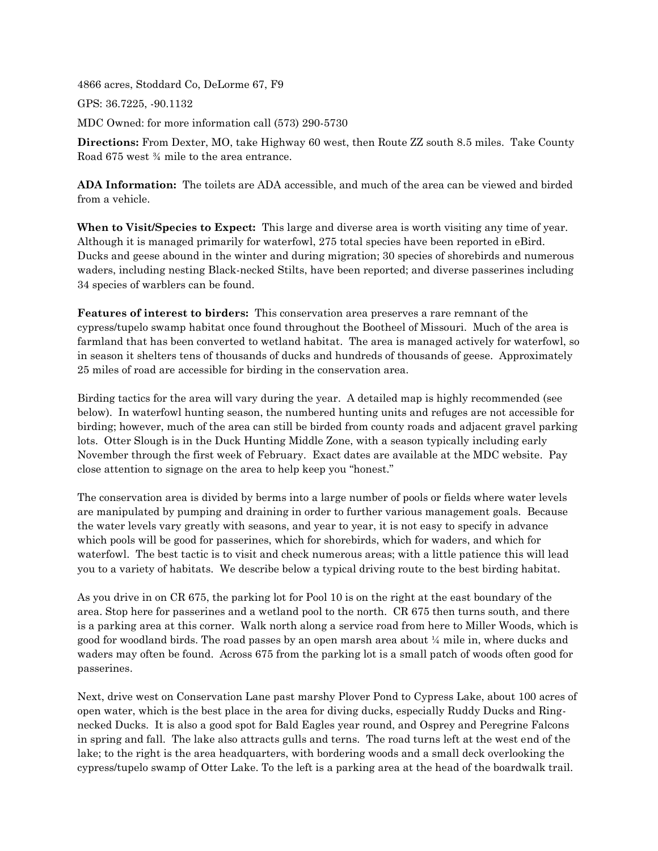4866 acres, Stoddard Co, DeLorme 67, F9

GPS: 36.7225, -90.1132

MDC Owned: for more information call (573) 290-5730

**Directions:** From Dexter, MO, take Highway 60 west, then Route ZZ south 8.5 miles. Take County Road 675 west ¾ mile to the area entrance.

**ADA Information:** The toilets are ADA accessible, and much of the area can be viewed and birded from a vehicle.

**When to Visit/Species to Expect:** This large and diverse area is worth visiting any time of year. Although it is managed primarily for waterfowl, 275 total species have been reported in eBird. Ducks and geese abound in the winter and during migration; 30 species of shorebirds and numerous waders, including nesting Black-necked Stilts, have been reported; and diverse passerines including 34 species of warblers can be found.

**Features of interest to birders:** This conservation area preserves a rare remnant of the cypress/tupelo swamp habitat once found throughout the Bootheel of Missouri. Much of the area is farmland that has been converted to wetland habitat. The area is managed actively for waterfowl, so in season it shelters tens of thousands of ducks and hundreds of thousands of geese. Approximately 25 miles of road are accessible for birding in the conservation area.

Birding tactics for the area will vary during the year. A detailed map is highly recommended (see below). In waterfowl hunting season, the numbered hunting units and refuges are not accessible for birding; however, much of the area can still be birded from county roads and adjacent gravel parking lots. Otter Slough is in the Duck Hunting Middle Zone, with a season typically including early November through the first week of February. Exact dates are available at the MDC website. Pay close attention to signage on the area to help keep you "honest."

The conservation area is divided by berms into a large number of pools or fields where water levels are manipulated by pumping and draining in order to further various management goals. Because the water levels vary greatly with seasons, and year to year, it is not easy to specify in advance which pools will be good for passerines, which for shorebirds, which for waders, and which for waterfowl. The best tactic is to visit and check numerous areas; with a little patience this will lead you to a variety of habitats. We describe below a typical driving route to the best birding habitat.

As you drive in on CR 675, the parking lot for Pool 10 is on the right at the east boundary of the area. Stop here for passerines and a wetland pool to the north. CR 675 then turns south, and there is a parking area at this corner. Walk north along a service road from here to Miller Woods, which is good for woodland birds. The road passes by an open marsh area about ¼ mile in, where ducks and waders may often be found. Across 675 from the parking lot is a small patch of woods often good for passerines.

Next, drive west on Conservation Lane past marshy Plover Pond to Cypress Lake, about 100 acres of open water, which is the best place in the area for diving ducks, especially Ruddy Ducks and Ringnecked Ducks. It is also a good spot for Bald Eagles year round, and Osprey and Peregrine Falcons in spring and fall. The lake also attracts gulls and terns. The road turns left at the west end of the lake; to the right is the area headquarters, with bordering woods and a small deck overlooking the cypress/tupelo swamp of Otter Lake. To the left is a parking area at the head of the boardwalk trail.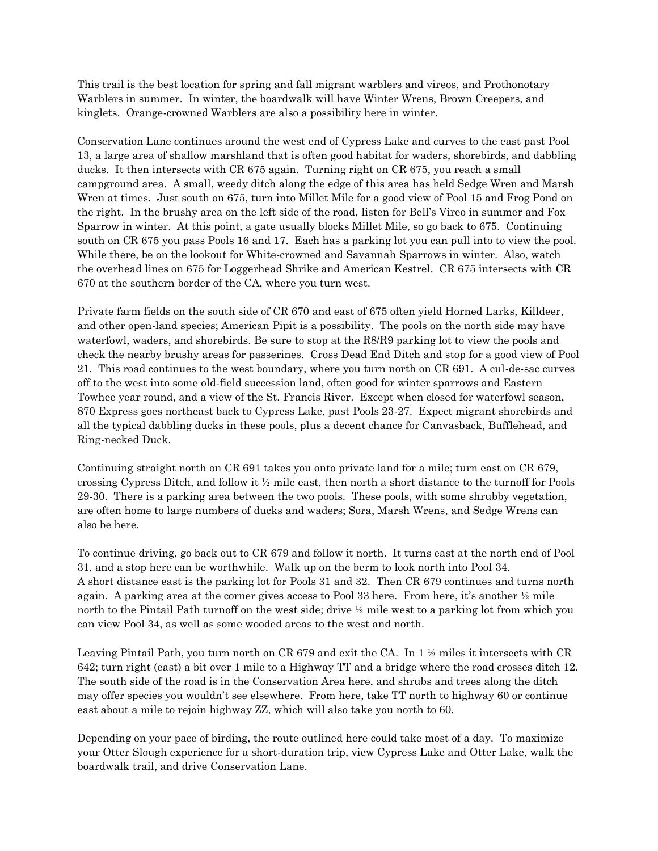This trail is the best location for spring and fall migrant warblers and vireos, and Prothonotary Warblers in summer. In winter, the boardwalk will have Winter Wrens, Brown Creepers, and kinglets. Orange-crowned Warblers are also a possibility here in winter.

Conservation Lane continues around the west end of Cypress Lake and curves to the east past Pool 13, a large area of shallow marshland that is often good habitat for waders, shorebirds, and dabbling ducks. It then intersects with CR 675 again. Turning right on CR 675, you reach a small campground area. A small, weedy ditch along the edge of this area has held Sedge Wren and Marsh Wren at times. Just south on 675, turn into Millet Mile for a good view of Pool 15 and Frog Pond on the right. In the brushy area on the left side of the road, listen for Bell's Vireo in summer and Fox Sparrow in winter. At this point, a gate usually blocks Millet Mile, so go back to 675. Continuing south on CR 675 you pass Pools 16 and 17. Each has a parking lot you can pull into to view the pool. While there, be on the lookout for White-crowned and Savannah Sparrows in winter. Also, watch the overhead lines on 675 for Loggerhead Shrike and American Kestrel. CR 675 intersects with CR 670 at the southern border of the CA, where you turn west.

Private farm fields on the south side of CR 670 and east of 675 often yield Horned Larks, Killdeer, and other open-land species; American Pipit is a possibility. The pools on the north side may have waterfowl, waders, and shorebirds. Be sure to stop at the R8/R9 parking lot to view the pools and check the nearby brushy areas for passerines. Cross Dead End Ditch and stop for a good view of Pool 21. This road continues to the west boundary, where you turn north on CR 691. A cul-de-sac curves off to the west into some old-field succession land, often good for winter sparrows and Eastern Towhee year round, and a view of the St. Francis River. Except when closed for waterfowl season, 870 Express goes northeast back to Cypress Lake, past Pools 23-27. Expect migrant shorebirds and all the typical dabbling ducks in these pools, plus a decent chance for Canvasback, Bufflehead, and Ring-necked Duck.

Continuing straight north on CR 691 takes you onto private land for a mile; turn east on CR 679, crossing Cypress Ditch, and follow it  $\frac{1}{2}$  mile east, then north a short distance to the turnoff for Pools 29-30. There is a parking area between the two pools. These pools, with some shrubby vegetation, are often home to large numbers of ducks and waders; Sora, Marsh Wrens, and Sedge Wrens can also be here.

To continue driving, go back out to CR 679 and follow it north. It turns east at the north end of Pool 31, and a stop here can be worthwhile. Walk up on the berm to look north into Pool 34. A short distance east is the parking lot for Pools 31 and 32. Then CR 679 continues and turns north again. A parking area at the corner gives access to Pool 33 here. From here, it's another ½ mile north to the Pintail Path turnoff on the west side; drive ½ mile west to a parking lot from which you can view Pool 34, as well as some wooded areas to the west and north.

Leaving Pintail Path, you turn north on CR 679 and exit the CA. In 1 ½ miles it intersects with CR 642; turn right (east) a bit over 1 mile to a Highway TT and a bridge where the road crosses ditch 12. The south side of the road is in the Conservation Area here, and shrubs and trees along the ditch may offer species you wouldn't see elsewhere. From here, take TT north to highway 60 or continue east about a mile to rejoin highway ZZ, which will also take you north to 60.

Depending on your pace of birding, the route outlined here could take most of a day. To maximize your Otter Slough experience for a short-duration trip, view Cypress Lake and Otter Lake, walk the boardwalk trail, and drive Conservation Lane.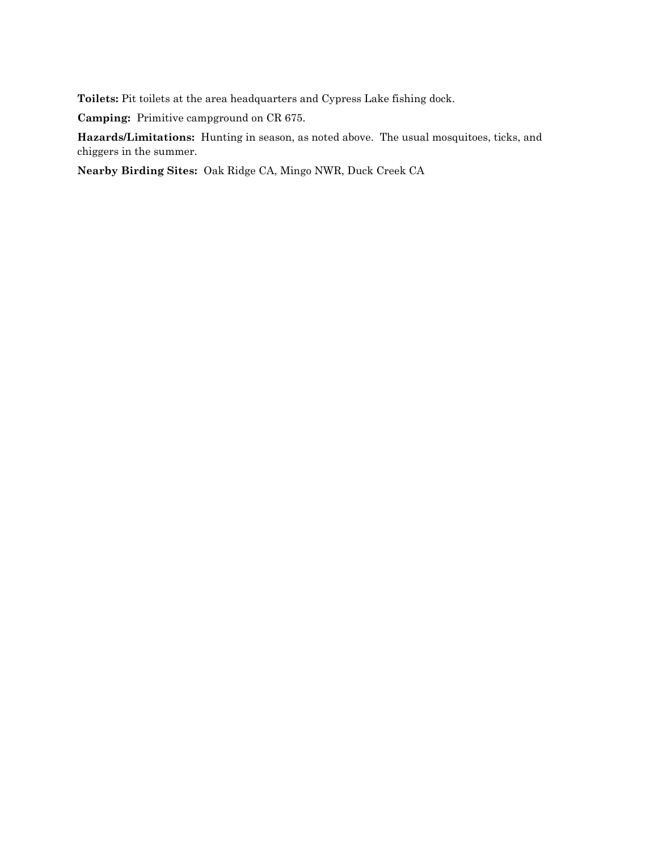**Toilets:** Pit toilets at the area headquarters and Cypress Lake fishing dock.

**Camping:** Primitive campground on CR 675.

**Hazards/Limitations:** Hunting in season, as noted above. The usual mosquitoes, ticks, and chiggers in the summer.

**Nearby Birding Sites:** Oak Ridge CA, Mingo NWR, Duck Creek CA